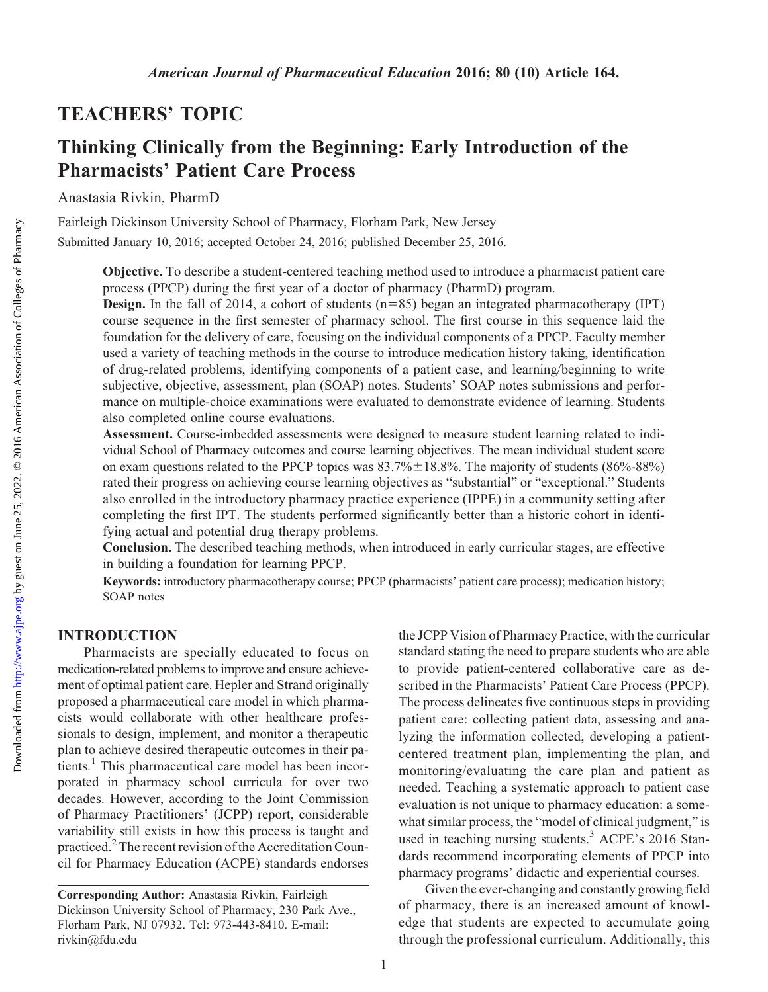### TEACHERS' TOPIC

## Thinking Clinically from the Beginning: Early Introduction of the Pharmacists' Patient Care Process

Anastasia Rivkin, PharmD

Fairleigh Dickinson University School of Pharmacy, Florham Park, New Jersey Submitted January 10, 2016; accepted October 24, 2016; published December 25, 2016.

> Objective. To describe a student-centered teaching method used to introduce a pharmacist patient care process (PPCP) during the first year of a doctor of pharmacy (PharmD) program.

> **Design.** In the fall of 2014, a cohort of students  $(n=85)$  began an integrated pharmacotherapy (IPT) course sequence in the first semester of pharmacy school. The first course in this sequence laid the foundation for the delivery of care, focusing on the individual components of a PPCP. Faculty member used a variety of teaching methods in the course to introduce medication history taking, identification of drug-related problems, identifying components of a patient case, and learning/beginning to write subjective, objective, assessment, plan (SOAP) notes. Students' SOAP notes submissions and performance on multiple-choice examinations were evaluated to demonstrate evidence of learning. Students also completed online course evaluations.

> Assessment. Course-imbedded assessments were designed to measure student learning related to individual School of Pharmacy outcomes and course learning objectives. The mean individual student score on exam questions related to the PPCP topics was  $83.7\% \pm 18.8\%$ . The majority of students (86%-88%) rated their progress on achieving course learning objectives as "substantial" or "exceptional." Students also enrolled in the introductory pharmacy practice experience (IPPE) in a community setting after completing the first IPT. The students performed significantly better than a historic cohort in identifying actual and potential drug therapy problems.

> Conclusion. The described teaching methods, when introduced in early curricular stages, are effective in building a foundation for learning PPCP.

> Keywords: introductory pharmacotherapy course; PPCP (pharmacists' patient care process); medication history; SOAP notes

#### INTRODUCTION

Pharmacists are specially educated to focus on medication-related problems to improve and ensure achievement of optimal patient care. Hepler and Strand originally proposed a pharmaceutical care model in which pharmacists would collaborate with other healthcare professionals to design, implement, and monitor a therapeutic plan to achieve desired therapeutic outcomes in their patients.<sup>1</sup> This pharmaceutical care model has been incorporated in pharmacy school curricula for over two decades. However, according to the Joint Commission of Pharmacy Practitioners' (JCPP) report, considerable variability still exists in how this process is taught and practiced.2The recent revision of the Accreditation Council for Pharmacy Education (ACPE) standards endorses the JCPP Vision of Pharmacy Practice, with the curricular standard stating the need to prepare students who are able to provide patient-centered collaborative care as described in the Pharmacists' Patient Care Process (PPCP). The process delineates five continuous steps in providing patient care: collecting patient data, assessing and analyzing the information collected, developing a patientcentered treatment plan, implementing the plan, and monitoring/evaluating the care plan and patient as needed. Teaching a systematic approach to patient case evaluation is not unique to pharmacy education: a somewhat similar process, the "model of clinical judgment," is used in teaching nursing students.<sup>3</sup> ACPE's 2016 Standards recommend incorporating elements of PPCP into pharmacy programs' didactic and experiential courses.

Given the ever-changing and constantly growing field of pharmacy, there is an increased amount of knowledge that students are expected to accumulate going through the professional curriculum. Additionally, this

Corresponding Author: Anastasia Rivkin, Fairleigh Dickinson University School of Pharmacy, 230 Park Ave., Florham Park, NJ 07932. Tel: 973-443-8410. E-mail: [rivkin@fdu.edu](mailto:rivkin@fdu.edu)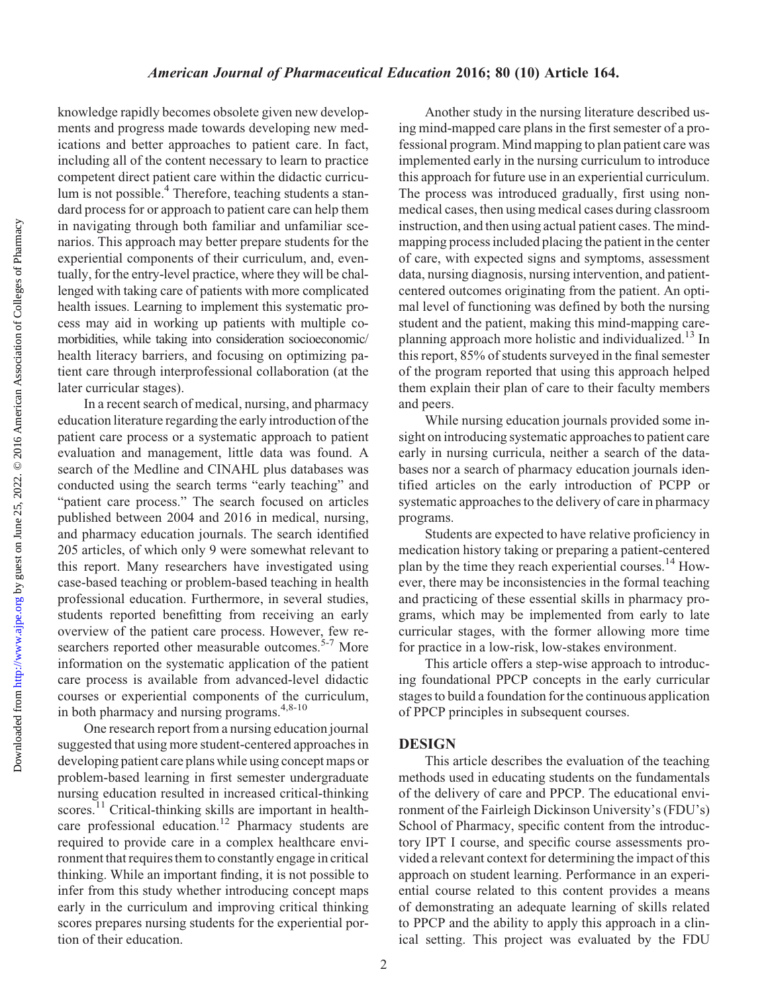Downloaded from http://www.ajpe.org by guest on June 25, 2022. @ 2016 American Association of Colleges of Pharmacy by guest on June 25, 2022. © 2016 American Association of Colleges of Pharmacy <http://www.ajpe.org> Downloaded from

knowledge rapidly becomes obsolete given new developments and progress made towards developing new medications and better approaches to patient care. In fact, including all of the content necessary to learn to practice competent direct patient care within the didactic curriculum is not possible.<sup>4</sup> Therefore, teaching students a standard process for or approach to patient care can help them in navigating through both familiar and unfamiliar scenarios. This approach may better prepare students for the experiential components of their curriculum, and, eventually, for the entry-level practice, where they will be challenged with taking care of patients with more complicated health issues. Learning to implement this systematic process may aid in working up patients with multiple comorbidities, while taking into consideration socioeconomic/ health literacy barriers, and focusing on optimizing patient care through interprofessional collaboration (at the later curricular stages).

In a recent search of medical, nursing, and pharmacy education literature regarding the early introduction of the patient care process or a systematic approach to patient evaluation and management, little data was found. A search of the Medline and CINAHL plus databases was conducted using the search terms "early teaching" and "patient care process." The search focused on articles published between 2004 and 2016 in medical, nursing, and pharmacy education journals. The search identified 205 articles, of which only 9 were somewhat relevant to this report. Many researchers have investigated using case-based teaching or problem-based teaching in health professional education. Furthermore, in several studies, students reported benefitting from receiving an early overview of the patient care process. However, few researchers reported other measurable outcomes.<sup>5-7</sup> More information on the systematic application of the patient care process is available from advanced-level didactic courses or experiential components of the curriculum, in both pharmacy and nursing programs.<sup>4,8-10</sup>

One research report from a nursing education journal suggested that using more student-centered approaches in developing patient care plans while using concept maps or problem-based learning in first semester undergraduate nursing education resulted in increased critical-thinking scores.<sup>11</sup> Critical-thinking skills are important in healthcare professional education.<sup>12</sup> Pharmacy students are required to provide care in a complex healthcare environment that requires them to constantly engage in critical thinking. While an important finding, it is not possible to infer from this study whether introducing concept maps early in the curriculum and improving critical thinking scores prepares nursing students for the experiential portion of their education.

Another study in the nursing literature described using mind-mapped care plans in the first semester of a professional program. Mind mapping to plan patient care was implemented early in the nursing curriculum to introduce this approach for future use in an experiential curriculum. The process was introduced gradually, first using nonmedical cases, then using medical cases during classroom instruction, and then using actual patient cases. The mindmapping process included placing the patient in the center of care, with expected signs and symptoms, assessment data, nursing diagnosis, nursing intervention, and patientcentered outcomes originating from the patient. An optimal level of functioning was defined by both the nursing student and the patient, making this mind-mapping careplanning approach more holistic and individualized.<sup>13</sup> In this report, 85% of students surveyed in the final semester of the program reported that using this approach helped them explain their plan of care to their faculty members and peers.

While nursing education journals provided some insight on introducing systematic approaches to patient care early in nursing curricula, neither a search of the databases nor a search of pharmacy education journals identified articles on the early introduction of PCPP or systematic approaches to the delivery of care in pharmacy programs.

Students are expected to have relative proficiency in medication history taking or preparing a patient-centered plan by the time they reach experiential courses.<sup>14</sup> However, there may be inconsistencies in the formal teaching and practicing of these essential skills in pharmacy programs, which may be implemented from early to late curricular stages, with the former allowing more time for practice in a low-risk, low-stakes environment.

This article offers a step-wise approach to introducing foundational PPCP concepts in the early curricular stages to build a foundation for the continuous application of PPCP principles in subsequent courses.

#### DESIGN

This article describes the evaluation of the teaching methods used in educating students on the fundamentals of the delivery of care and PPCP. The educational environment of the Fairleigh Dickinson University's (FDU's) School of Pharmacy, specific content from the introductory IPT I course, and specific course assessments provided a relevant context for determining the impact of this approach on student learning. Performance in an experiential course related to this content provides a means of demonstrating an adequate learning of skills related to PPCP and the ability to apply this approach in a clinical setting. This project was evaluated by the FDU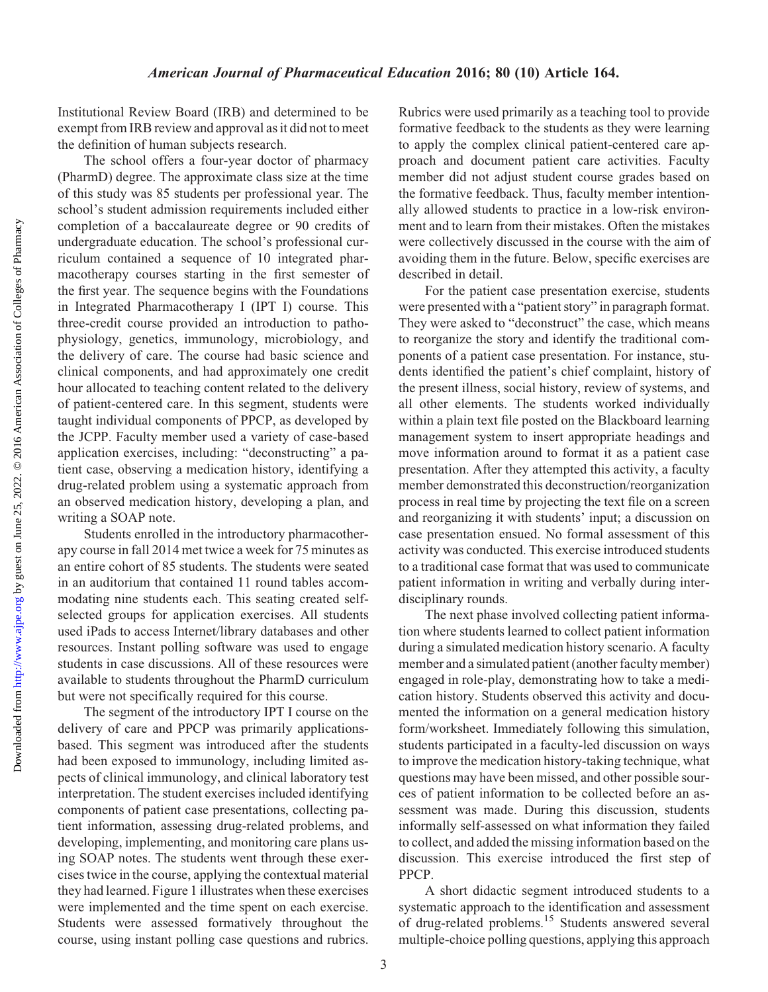Institutional Review Board (IRB) and determined to be exempt from IRB review and approval as it did not to meet the definition of human subjects research.

The school offers a four-year doctor of pharmacy (PharmD) degree. The approximate class size at the time of this study was 85 students per professional year. The school's student admission requirements included either completion of a baccalaureate degree or 90 credits of undergraduate education. The school's professional curriculum contained a sequence of 10 integrated pharmacotherapy courses starting in the first semester of the first year. The sequence begins with the Foundations in Integrated Pharmacotherapy I (IPT I) course. This three-credit course provided an introduction to pathophysiology, genetics, immunology, microbiology, and the delivery of care. The course had basic science and clinical components, and had approximately one credit hour allocated to teaching content related to the delivery of patient-centered care. In this segment, students were taught individual components of PPCP, as developed by the JCPP. Faculty member used a variety of case-based application exercises, including: "deconstructing" a patient case, observing a medication history, identifying a drug-related problem using a systematic approach from an observed medication history, developing a plan, and writing a SOAP note.

Students enrolled in the introductory pharmacotherapy course in fall 2014 met twice a week for 75 minutes as an entire cohort of 85 students. The students were seated in an auditorium that contained 11 round tables accommodating nine students each. This seating created selfselected groups for application exercises. All students used iPads to access Internet/library databases and other resources. Instant polling software was used to engage students in case discussions. All of these resources were available to students throughout the PharmD curriculum but were not specifically required for this course.

The segment of the introductory IPT I course on the delivery of care and PPCP was primarily applicationsbased. This segment was introduced after the students had been exposed to immunology, including limited aspects of clinical immunology, and clinical laboratory test interpretation. The student exercises included identifying components of patient case presentations, collecting patient information, assessing drug-related problems, and developing, implementing, and monitoring care plans using SOAP notes. The students went through these exercises twice in the course, applying the contextual material they had learned. Figure 1 illustrates when these exercises were implemented and the time spent on each exercise. Students were assessed formatively throughout the course, using instant polling case questions and rubrics.

Rubrics were used primarily as a teaching tool to provide formative feedback to the students as they were learning to apply the complex clinical patient-centered care approach and document patient care activities. Faculty member did not adjust student course grades based on the formative feedback. Thus, faculty member intentionally allowed students to practice in a low-risk environment and to learn from their mistakes. Often the mistakes were collectively discussed in the course with the aim of avoiding them in the future. Below, specific exercises are described in detail.

For the patient case presentation exercise, students were presented with a "patient story" in paragraph format. They were asked to "deconstruct" the case, which means to reorganize the story and identify the traditional components of a patient case presentation. For instance, students identified the patient's chief complaint, history of the present illness, social history, review of systems, and all other elements. The students worked individually within a plain text file posted on the Blackboard learning management system to insert appropriate headings and move information around to format it as a patient case presentation. After they attempted this activity, a faculty member demonstrated this deconstruction/reorganization process in real time by projecting the text file on a screen and reorganizing it with students' input; a discussion on case presentation ensued. No formal assessment of this activity was conducted. This exercise introduced students to a traditional case format that was used to communicate patient information in writing and verbally during interdisciplinary rounds.

The next phase involved collecting patient information where students learned to collect patient information during a simulated medication history scenario. A faculty member and a simulated patient (another faculty member) engaged in role-play, demonstrating how to take a medication history. Students observed this activity and documented the information on a general medication history form/worksheet. Immediately following this simulation, students participated in a faculty-led discussion on ways to improve the medication history-taking technique, what questions may have been missed, and other possible sources of patient information to be collected before an assessment was made. During this discussion, students informally self-assessed on what information they failed to collect, and added the missing information based on the discussion. This exercise introduced the first step of PPCP.

A short didactic segment introduced students to a systematic approach to the identification and assessment of drug-related problems.15 Students answered several multiple-choice polling questions, applying this approach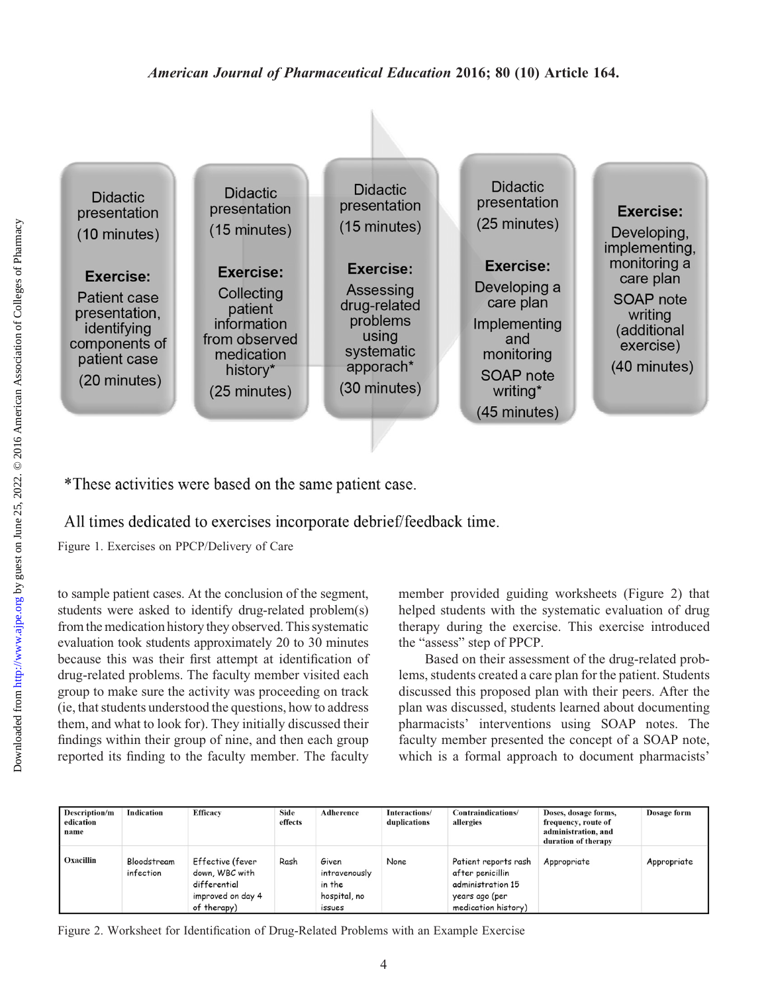

\*These activities were based on the same patient case.

All times dedicated to exercises incorporate debrief/feedback time.

Figure 1. Exercises on PPCP/Delivery of Care

to sample patient cases. At the conclusion of the segment, students were asked to identify drug-related problem(s) from the medication history they observed. This systematic evaluation took students approximately 20 to 30 minutes because this was their first attempt at identification of drug-related problems. The faculty member visited each group to make sure the activity was proceeding on track (ie, that students understood the questions, how to address them, and what to look for). They initially discussed their findings within their group of nine, and then each group reported its finding to the faculty member. The faculty member provided guiding worksheets (Figure 2) that helped students with the systematic evaluation of drug therapy during the exercise. This exercise introduced the "assess" step of PPCP.

Based on their assessment of the drug-related problems, students created a care plan for the patient. Students discussed this proposed plan with their peers. After the plan was discussed, students learned about documenting pharmacists' interventions using SOAP notes. The faculty member presented the concept of a SOAP note, which is a formal approach to document pharmacists'

| Description/m<br>edication<br>name | <b>Indication</b>        | <b>Efficacy</b>                                                                        | Side<br>effects | Adherence                                                  | Interactions/<br>duplications | Contraindications/<br>allergies                                                                        | Doses, dosage forms,<br>frequency, route of<br>administration, and<br>duration of therapy | Dosage form |
|------------------------------------|--------------------------|----------------------------------------------------------------------------------------|-----------------|------------------------------------------------------------|-------------------------------|--------------------------------------------------------------------------------------------------------|-------------------------------------------------------------------------------------------|-------------|
| Oxacillin                          | Bloodstream<br>infection | Effective (fever<br>down, WBC with<br>differential<br>improved on day 4<br>of therapy) | Rash            | Given<br>intravenously<br>in the<br>hospital, no<br>issues | None                          | Patient reports rash<br>after penicillin<br>administration 15<br>years ago (per<br>medication history) | Appropriate                                                                               | Appropriate |

Figure 2. Worksheet for Identification of Drug-Related Problems with an Example Exercise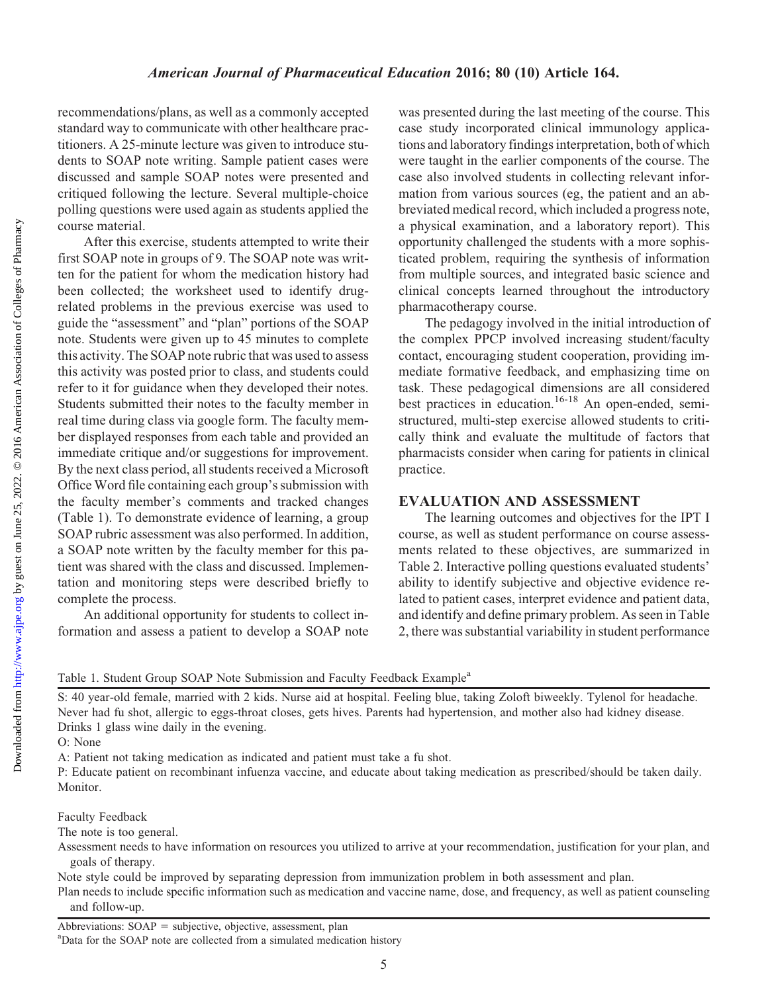recommendations/plans, as well as a commonly accepted standard way to communicate with other healthcare practitioners. A 25-minute lecture was given to introduce students to SOAP note writing. Sample patient cases were discussed and sample SOAP notes were presented and critiqued following the lecture. Several multiple-choice polling questions were used again as students applied the course material.

After this exercise, students attempted to write their first SOAP note in groups of 9. The SOAP note was written for the patient for whom the medication history had been collected; the worksheet used to identify drugrelated problems in the previous exercise was used to guide the "assessment" and "plan" portions of the SOAP note. Students were given up to 45 minutes to complete this activity. The SOAP note rubric that was used to assess this activity was posted prior to class, and students could refer to it for guidance when they developed their notes. Students submitted their notes to the faculty member in real time during class via google form. The faculty member displayed responses from each table and provided an immediate critique and/or suggestions for improvement. By the next class period, all students received a Microsoft Office Word file containing each group's submission with the faculty member's comments and tracked changes (Table 1). To demonstrate evidence of learning, a group SOAP rubric assessment was also performed. In addition, a SOAP note written by the faculty member for this patient was shared with the class and discussed. Implementation and monitoring steps were described briefly to complete the process.

An additional opportunity for students to collect information and assess a patient to develop a SOAP note was presented during the last meeting of the course. This case study incorporated clinical immunology applications and laboratory findings interpretation, both of which were taught in the earlier components of the course. The case also involved students in collecting relevant information from various sources (eg, the patient and an abbreviated medical record, which included a progress note, a physical examination, and a laboratory report). This opportunity challenged the students with a more sophisticated problem, requiring the synthesis of information from multiple sources, and integrated basic science and clinical concepts learned throughout the introductory pharmacotherapy course.

The pedagogy involved in the initial introduction of the complex PPCP involved increasing student/faculty contact, encouraging student cooperation, providing immediate formative feedback, and emphasizing time on task. These pedagogical dimensions are all considered best practices in education.<sup>16-18</sup> An open-ended, semistructured, multi-step exercise allowed students to critically think and evaluate the multitude of factors that pharmacists consider when caring for patients in clinical practice.

#### EVALUATION AND ASSESSMENT

The learning outcomes and objectives for the IPT I course, as well as student performance on course assessments related to these objectives, are summarized in Table 2. Interactive polling questions evaluated students' ability to identify subjective and objective evidence related to patient cases, interpret evidence and patient data, and identify and define primary problem. As seen in Table 2, there was substantial variability in student performance

Table 1. Student Group SOAP Note Submission and Faculty Feedback Example<sup>a</sup>

S: 40 year-old female, married with 2 kids. Nurse aid at hospital. Feeling blue, taking Zoloft biweekly. Tylenol for headache. Never had fu shot, allergic to eggs-throat closes, gets hives. Parents had hypertension, and mother also had kidney disease. Drinks 1 glass wine daily in the evening.

O: None

Downloaded from

A: Patient not taking medication as indicated and patient must take a fu shot.

P: Educate patient on recombinant infuenza vaccine, and educate about taking medication as prescribed/should be taken daily. Monitor.

Faculty Feedback

The note is too general.

Assessment needs to have information on resources you utilized to arrive at your recommendation, justification for your plan, and goals of therapy.

Note style could be improved by separating depression from immunization problem in both assessment and plan.

Plan needs to include specific information such as medication and vaccine name, dose, and frequency, as well as patient counseling and follow-up.

Abbreviations:  $SOAP =$  subjective, objective, assessment, plan

Data for the SOAP note are collected from a simulated medication history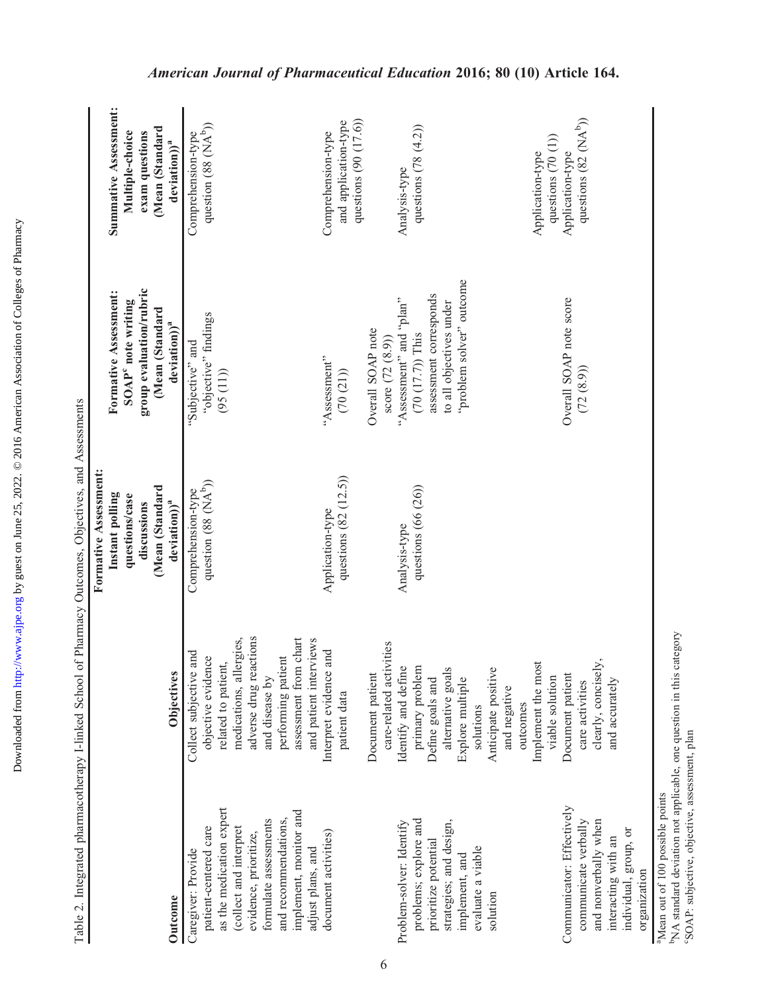|                                                                                                                                                                                                                            | Table 2. Integrated pharmacotherapy I-linked School of Pharmacy Outcomes, Objectives, and Assessments                                                                                                                    |                                                                                                                         |                                                                                                                                  |                                                                                                          |
|----------------------------------------------------------------------------------------------------------------------------------------------------------------------------------------------------------------------------|--------------------------------------------------------------------------------------------------------------------------------------------------------------------------------------------------------------------------|-------------------------------------------------------------------------------------------------------------------------|----------------------------------------------------------------------------------------------------------------------------------|----------------------------------------------------------------------------------------------------------|
| Outcome                                                                                                                                                                                                                    | <b>Objectives</b>                                                                                                                                                                                                        | Formative Assessment:<br>(Mean (Standard<br>Instant polling<br>questions/case<br>deviation) <sup>a</sup><br>discussions | group evaluation/rubric<br>Formative Assessment:<br>SOAP <sup>c</sup> note writing<br>(Mean (Standard<br>deviation) <sup>a</sup> | Summative Assessment:<br>Mean (Standard<br>Multiple-choice<br>exam questions<br>deviation)) <sup>a</sup> |
| as the medication expert<br>implement, monitor and<br>and recommendations,<br>formulate assessments<br>patient-centered care<br>(collect and interpret<br>evidence, prioritize,<br>adjust plans, and<br>Caregiver: Provide | adverse drug reactions<br>medications, allergies,<br>i chart<br>and patient interviews<br>Collect subjective and<br>performing patient<br>objective evidence<br>related to patient,<br>assessment from<br>and disease by | question (88 (NA <sup>b</sup> ))<br>Comprehension-type                                                                  | "objective" findings<br>"Subjective" and<br>(95(11))                                                                             | question (88 (NA <sup>b</sup> ))<br>Comprehension-type                                                   |
| document activities)                                                                                                                                                                                                       | and<br>Interpret evidence<br>patient data                                                                                                                                                                                | questions $(82 (12.5))$<br>Application-type                                                                             | "Assessment"<br>(70 (21))                                                                                                        | questions $(90 (17.6))$<br>and application-type<br>Comprehension-type                                    |
|                                                                                                                                                                                                                            | care-related activities<br>Document patient                                                                                                                                                                              |                                                                                                                         | Overall SOAP note<br>score $(72 (8.9))$                                                                                          |                                                                                                          |
| problems; explore and<br>Problem-solver: Identify<br>prioritize potential                                                                                                                                                  | Identify and define<br>primary problem<br>Define goals and                                                                                                                                                               | questions (66 (26))<br>Analysis-type                                                                                    | assessment corresponds<br>"Assessment" and "plan"<br>$(70 (17.7))$ This                                                          | questions $(78 (4.2))$<br>Analysis-type                                                                  |
| strategies; and design,<br>evaluate a viable<br>implement, and<br>solution                                                                                                                                                 | alternative goals<br>Anticipate positive<br>Explore multiple<br>and negative<br>outcomes<br>solutions                                                                                                                    |                                                                                                                         | "problem solver" outcome<br>to all objectives under                                                                              |                                                                                                          |
|                                                                                                                                                                                                                            | Implement the most<br>viable solution                                                                                                                                                                                    |                                                                                                                         |                                                                                                                                  | questions $(70(1))$<br>Application-type                                                                  |
| Communicator: Effectively<br>and nonverbally when<br>communicate verbally<br>interacting with an                                                                                                                           | clearly, concisely,<br>Document patient<br>and accurately<br>care activities                                                                                                                                             |                                                                                                                         | Overall SOAP note score<br>(72 (8.9))                                                                                            | questions $(82 \text{ (NA}^b))$<br>Application-type                                                      |
| individual, group, or<br>organization                                                                                                                                                                                      |                                                                                                                                                                                                                          |                                                                                                                         |                                                                                                                                  |                                                                                                          |

Downloaded from http://www.ajpe.org by guest on June 25, 2022. © 2016 American Association of Colleges of Pharmacy by guest on June 25, 2022. © 2016 American Association of Colleges of Pharmacy <http://www.ajpe.org>

Downloaded from

# organization organization

<sup>a</sup>Mean out of 100 possible points

<sup>a</sup>Mean out of 100 possible points<br>b<sub>NA</sub> standard deviation not applicable, one question in this category<br>°SOAP: subjective, objective, assessment, plan bNA standard deviation not applicable, one question in this category cSOAP: subjective, objective, assessment, plan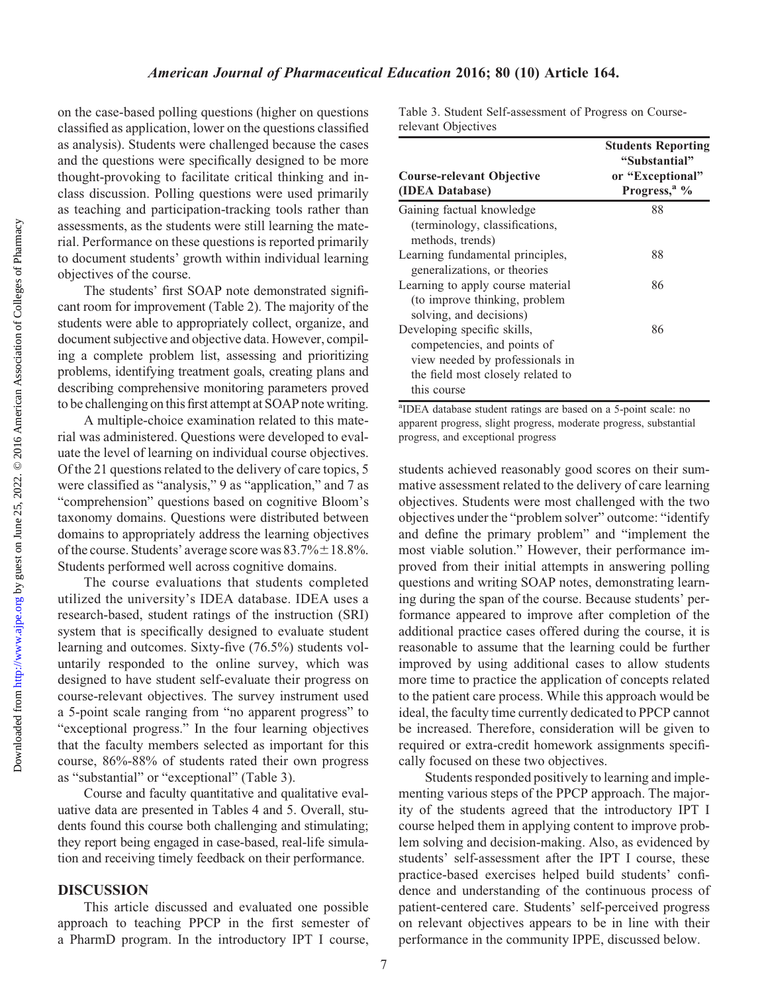#### American Journal of Pharmaceutical Education 2016; 80 (10) Article 164.

on the case-based polling questions (higher on questions classified as application, lower on the questions classified as analysis). Students were challenged because the cases and the questions were specifically designed to be more thought-provoking to facilitate critical thinking and inclass discussion. Polling questions were used primarily as teaching and participation-tracking tools rather than assessments, as the students were still learning the material. Performance on these questions is reported primarily to document students' growth within individual learning objectives of the course.

The students' first SOAP note demonstrated significant room for improvement (Table 2). The majority of the students were able to appropriately collect, organize, and document subjective and objective data. However, compiling a complete problem list, assessing and prioritizing problems, identifying treatment goals, creating plans and describing comprehensive monitoring parameters proved to be challenging on this first attempt at SOAP note writing.

A multiple-choice examination related to this material was administered. Questions were developed to evaluate the level of learning on individual course objectives. Of the 21 questions related to the delivery of care topics, 5 were classified as "analysis," 9 as "application," and 7 as "comprehension" questions based on cognitive Bloom's taxonomy domains. Questions were distributed between domains to appropriately address the learning objectives of the course. Students' average score was  $83.7\% \pm 18.8\%$ . Students performed well across cognitive domains.

The course evaluations that students completed utilized the university's IDEA database. IDEA uses a research-based, student ratings of the instruction (SRI) system that is specifically designed to evaluate student learning and outcomes. Sixty-five (76.5%) students voluntarily responded to the online survey, which was designed to have student self-evaluate their progress on course-relevant objectives. The survey instrument used a 5-point scale ranging from "no apparent progress" to "exceptional progress." In the four learning objectives that the faculty members selected as important for this course, 86%-88% of students rated their own progress as "substantial" or "exceptional" (Table 3).

Course and faculty quantitative and qualitative evaluative data are presented in Tables 4 and 5. Overall, students found this course both challenging and stimulating; they report being engaged in case-based, real-life simulation and receiving timely feedback on their performance.

#### DISCUSSION

This article discussed and evaluated one possible approach to teaching PPCP in the first semester of a PharmD program. In the introductory IPT I course,

Table 3. Student Self-assessment of Progress on Courserelevant Objectives

| <b>Course-relevant Objective</b><br>(IDEA Database)                                                                                               | <b>Students Reporting</b><br>"Substantial"<br>or "Exceptional"<br>Progress, <sup>a</sup> % |
|---------------------------------------------------------------------------------------------------------------------------------------------------|--------------------------------------------------------------------------------------------|
| Gaining factual knowledge<br>(terminology, classifications,<br>methods, trends)                                                                   | 88                                                                                         |
| Learning fundamental principles,<br>generalizations, or theories                                                                                  | 88                                                                                         |
| Learning to apply course material<br>(to improve thinking, problem<br>solving, and decisions)                                                     | 86                                                                                         |
| Developing specific skills,<br>competencies, and points of<br>view needed by professionals in<br>the field most closely related to<br>this course | 86                                                                                         |

<sup>a</sup>IDEA database student ratings are based on a 5-point scale: no apparent progress, slight progress, moderate progress, substantial progress, and exceptional progress

students achieved reasonably good scores on their summative assessment related to the delivery of care learning objectives. Students were most challenged with the two objectives under the "problem solver" outcome: "identify and define the primary problem" and "implement the most viable solution." However, their performance improved from their initial attempts in answering polling questions and writing SOAP notes, demonstrating learning during the span of the course. Because students' performance appeared to improve after completion of the additional practice cases offered during the course, it is reasonable to assume that the learning could be further improved by using additional cases to allow students more time to practice the application of concepts related to the patient care process. While this approach would be ideal, the faculty time currently dedicated to PPCP cannot be increased. Therefore, consideration will be given to required or extra-credit homework assignments specifically focused on these two objectives.

Students responded positively to learning and implementing various steps of the PPCP approach. The majority of the students agreed that the introductory IPT I course helped them in applying content to improve problem solving and decision-making. Also, as evidenced by students' self-assessment after the IPT I course, these practice-based exercises helped build students' confidence and understanding of the continuous process of patient-centered care. Students' self-perceived progress on relevant objectives appears to be in line with their performance in the community IPPE, discussed below.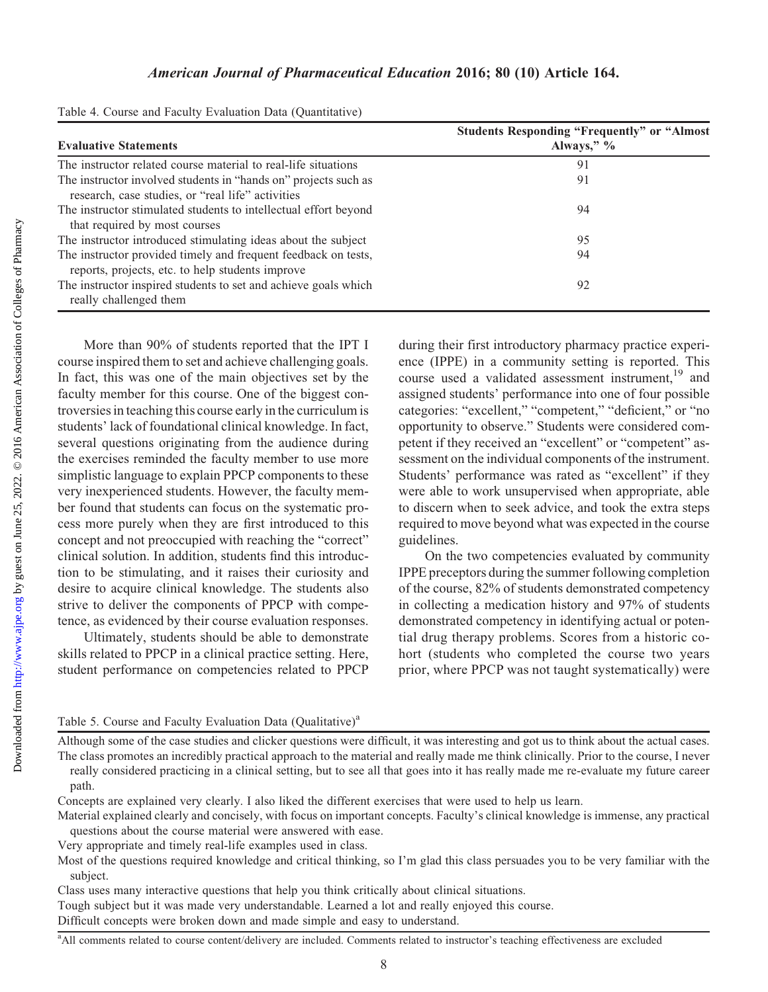| Table 4. Course and Faculty Evaluation Data (Quantitative) |  |  |  |  |
|------------------------------------------------------------|--|--|--|--|
|------------------------------------------------------------|--|--|--|--|

| <b>Evaluative Statements</b>                                                                                         | <b>Students Responding "Frequently" or "Almost</b><br>Always," $\%$ |
|----------------------------------------------------------------------------------------------------------------------|---------------------------------------------------------------------|
| The instructor related course material to real-life situations                                                       | 91                                                                  |
| The instructor involved students in "hands on" projects such as<br>research, case studies, or "real life" activities | 91                                                                  |
| The instructor stimulated students to intellectual effort beyond<br>that required by most courses                    | 94                                                                  |
| The instructor introduced stimulating ideas about the subject                                                        | 95                                                                  |
| The instructor provided timely and frequent feedback on tests,<br>reports, projects, etc. to help students improve   | 94                                                                  |
| The instructor inspired students to set and achieve goals which<br>really challenged them                            | 92                                                                  |

More than 90% of students reported that the IPT I course inspired them to set and achieve challenging goals. In fact, this was one of the main objectives set by the faculty member for this course. One of the biggest controversies in teaching this course early in the curriculum is students' lack of foundational clinical knowledge. In fact, several questions originating from the audience during the exercises reminded the faculty member to use more simplistic language to explain PPCP components to these very inexperienced students. However, the faculty member found that students can focus on the systematic process more purely when they are first introduced to this concept and not preoccupied with reaching the "correct" clinical solution. In addition, students find this introduction to be stimulating, and it raises their curiosity and desire to acquire clinical knowledge. The students also strive to deliver the components of PPCP with competence, as evidenced by their course evaluation responses.

Ultimately, students should be able to demonstrate skills related to PPCP in a clinical practice setting. Here, student performance on competencies related to PPCP during their first introductory pharmacy practice experience (IPPE) in a community setting is reported. This course used a validated assessment instrument,<sup>19</sup> and assigned students' performance into one of four possible categories: "excellent," "competent," "deficient," or "no opportunity to observe." Students were considered competent if they received an "excellent" or "competent" assessment on the individual components of the instrument. Students' performance was rated as "excellent" if they were able to work unsupervised when appropriate, able to discern when to seek advice, and took the extra steps required to move beyond what was expected in the course guidelines.

On the two competencies evaluated by community IPPE preceptors during the summer following completion of the course, 82% of students demonstrated competency in collecting a medication history and 97% of students demonstrated competency in identifying actual or potential drug therapy problems. Scores from a historic cohort (students who completed the course two years prior, where PPCP was not taught systematically) were

#### Table 5. Course and Faculty Evaluation Data (Qualitative)<sup>a</sup>

Although some of the case studies and clicker questions were difficult, it was interesting and got us to think about the actual cases. The class promotes an incredibly practical approach to the material and really made me think clinically. Prior to the course, I never really considered practicing in a clinical setting, but to see all that goes into it has really made me re-evaluate my future career path.

Concepts are explained very clearly. I also liked the different exercises that were used to help us learn.

Material explained clearly and concisely, with focus on important concepts. Faculty's clinical knowledge is immense, any practical questions about the course material were answered with ease.

Very appropriate and timely real-life examples used in class.

Class uses many interactive questions that help you think critically about clinical situations.

Tough subject but it was made very understandable. Learned a lot and really enjoyed this course.

Difficult concepts were broken down and made simple and easy to understand.

Most of the questions required knowledge and critical thinking, so I'm glad this class persuades you to be very familiar with the subject.

<sup>&</sup>lt;sup>a</sup> All comments related to course content/delivery are included. Comments related to instructor's teaching effectiveness are excluded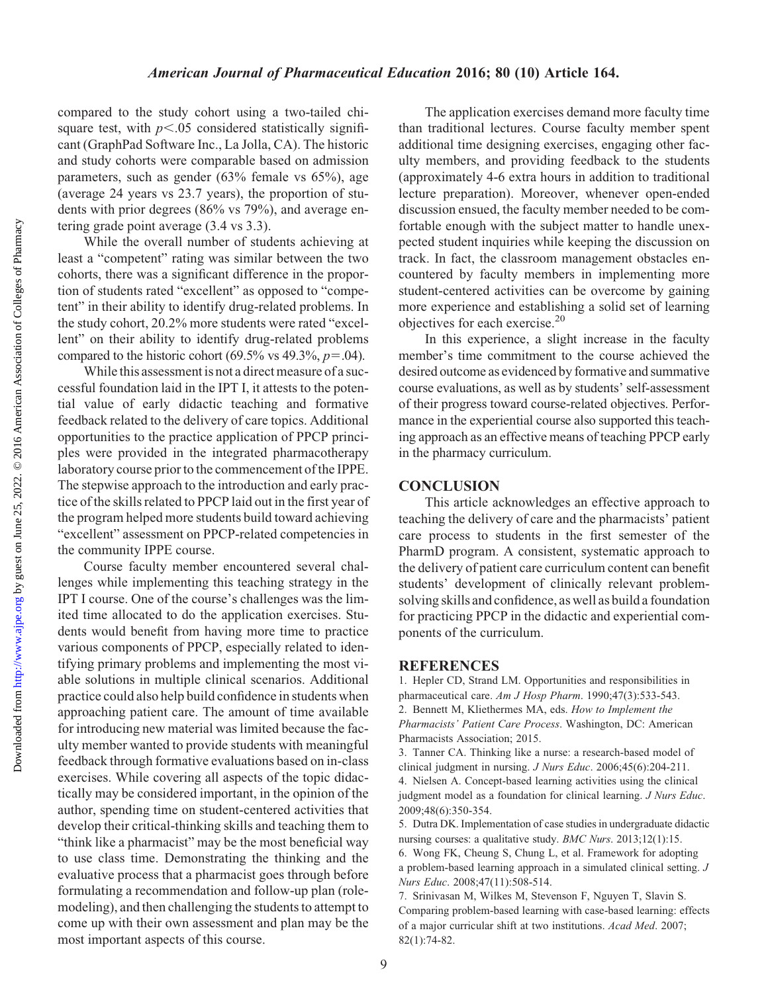#### American Journal of Pharmaceutical Education 2016; 80 (10) Article 164.

compared to the study cohort using a two-tailed chisquare test, with  $p<.05$  considered statistically significant (GraphPad Software Inc., La Jolla, CA). The historic and study cohorts were comparable based on admission parameters, such as gender (63% female vs 65%), age (average 24 years vs 23.7 years), the proportion of students with prior degrees (86% vs 79%), and average entering grade point average (3.4 vs 3.3).

While the overall number of students achieving at least a "competent" rating was similar between the two cohorts, there was a significant difference in the proportion of students rated "excellent" as opposed to "competent" in their ability to identify drug-related problems. In the study cohort, 20.2% more students were rated "excellent" on their ability to identify drug-related problems compared to the historic cohort (69.5% vs 49.3%,  $p=0.04$ ).

While this assessment is not a direct measure of a successful foundation laid in the IPT I, it attests to the potential value of early didactic teaching and formative feedback related to the delivery of care topics. Additional opportunities to the practice application of PPCP principles were provided in the integrated pharmacotherapy laboratory course prior to the commencement of the IPPE. The stepwise approach to the introduction and early practice of the skills related to PPCP laid out in the first year of the program helped more students build toward achieving "excellent" assessment on PPCP-related competencies in the community IPPE course.

Course faculty member encountered several challenges while implementing this teaching strategy in the IPT I course. One of the course's challenges was the limited time allocated to do the application exercises. Students would benefit from having more time to practice various components of PPCP, especially related to identifying primary problems and implementing the most viable solutions in multiple clinical scenarios. Additional practice could also help build confidence in students when approaching patient care. The amount of time available for introducing new material was limited because the faculty member wanted to provide students with meaningful feedback through formative evaluations based on in-class exercises. While covering all aspects of the topic didactically may be considered important, in the opinion of the author, spending time on student-centered activities that develop their critical-thinking skills and teaching them to "think like a pharmacist" may be the most beneficial way to use class time. Demonstrating the thinking and the evaluative process that a pharmacist goes through before formulating a recommendation and follow-up plan (rolemodeling), and then challenging the students to attempt to come up with their own assessment and plan may be the most important aspects of this course.

The application exercises demand more faculty time than traditional lectures. Course faculty member spent additional time designing exercises, engaging other faculty members, and providing feedback to the students (approximately 4-6 extra hours in addition to traditional lecture preparation). Moreover, whenever open-ended discussion ensued, the faculty member needed to be comfortable enough with the subject matter to handle unexpected student inquiries while keeping the discussion on track. In fact, the classroom management obstacles encountered by faculty members in implementing more student-centered activities can be overcome by gaining more experience and establishing a solid set of learning objectives for each exercise.<sup>20</sup>

In this experience, a slight increase in the faculty member's time commitment to the course achieved the desired outcome as evidenced by formative and summative course evaluations, as well as by students' self-assessment of their progress toward course-related objectives. Performance in the experiential course also supported this teaching approach as an effective means of teaching PPCP early in the pharmacy curriculum.

#### **CONCLUSION**

This article acknowledges an effective approach to teaching the delivery of care and the pharmacists' patient care process to students in the first semester of the PharmD program. A consistent, systematic approach to the delivery of patient care curriculum content can benefit students' development of clinically relevant problemsolving skills and confidence, as well as build a foundation for practicing PPCP in the didactic and experiential components of the curriculum.

#### **REFERENCES**

1. Hepler CD, Strand LM. Opportunities and responsibilities in pharmaceutical care. Am J Hosp Pharm. 1990;47(3):533-543. 2. Bennett M, Kliethermes MA, eds. How to Implement the Pharmacists' Patient Care Process. Washington, DC: American Pharmacists Association; 2015.

3. Tanner CA. Thinking like a nurse: a research-based model of clinical judgment in nursing. J Nurs Educ. 2006;45(6):204-211. 4. Nielsen A. Concept-based learning activities using the clinical judgment model as a foundation for clinical learning. J Nurs Educ. 2009;48(6):350-354.

5. Dutra DK. Implementation of case studies in undergraduate didactic nursing courses: a qualitative study. BMC Nurs. 2013;12(1):15.

6. Wong FK, Cheung S, Chung L, et al. Framework for adopting a problem-based learning approach in a simulated clinical setting. J Nurs Educ. 2008;47(11):508-514.

7. Srinivasan M, Wilkes M, Stevenson F, Nguyen T, Slavin S. Comparing problem-based learning with case-based learning: effects of a major curricular shift at two institutions. Acad Med. 2007; 82(1):74-82.